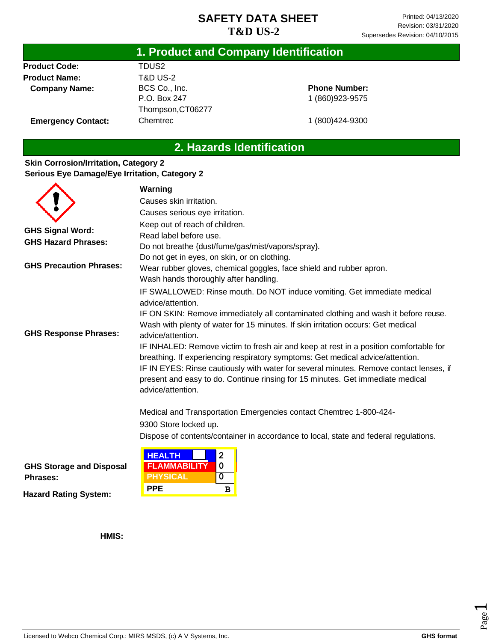|                           | 1. Product and Company Identification              |                                          |  |
|---------------------------|----------------------------------------------------|------------------------------------------|--|
| <b>Product Code:</b>      | TDUS2                                              |                                          |  |
| <b>Product Name:</b>      | <b>T&amp;D US-2</b>                                |                                          |  |
| <b>Company Name:</b>      | BCS Co., Inc.<br>P.O. Box 247<br>Thompson, CT06277 | <b>Phone Number:</b><br>1 (860) 923-9575 |  |
| <b>Emergency Contact:</b> | Chemtrec                                           | 1 (800) 424-9300                         |  |
|                           | 2. Hazards Identification                          |                                          |  |

#### **Skin Corrosion/Irritation, Category 2 Serious Eye Damage/Eye Irritation, Category 2**

|                                | Warning                                                                                                                                                                  |
|--------------------------------|--------------------------------------------------------------------------------------------------------------------------------------------------------------------------|
|                                | Causes skin irritation.                                                                                                                                                  |
|                                | Causes serious eye irritation.                                                                                                                                           |
| <b>GHS Signal Word:</b>        | Keep out of reach of children.                                                                                                                                           |
| <b>GHS Hazard Phrases:</b>     | Read label before use.                                                                                                                                                   |
|                                | Do not breathe {dust/fume/gas/mist/vapors/spray}.                                                                                                                        |
| <b>GHS Precaution Phrases:</b> | Do not get in eyes, on skin, or on clothing.                                                                                                                             |
|                                | Wear rubber gloves, chemical goggles, face shield and rubber apron.                                                                                                      |
|                                | Wash hands thoroughly after handling.                                                                                                                                    |
|                                | IF SWALLOWED: Rinse mouth. Do NOT induce vomiting. Get immediate medical                                                                                                 |
|                                | advice/attention.                                                                                                                                                        |
|                                | IF ON SKIN: Remove immediately all contaminated clothing and wash it before reuse.                                                                                       |
| <b>GHS Response Phrases:</b>   | Wash with plenty of water for 15 minutes. If skin irritation occurs: Get medical                                                                                         |
|                                | advice/attention.                                                                                                                                                        |
|                                | IF INHALED: Remove victim to fresh air and keep at rest in a position comfortable for                                                                                    |
|                                | breathing. If experiencing respiratory symptoms: Get medical advice/attention.<br>IF IN EYES: Rinse cautiously with water for several minutes. Remove contact lenses, if |
|                                | present and easy to do. Continue rinsing for 15 minutes. Get immediate medical                                                                                           |
|                                | advice/attention.                                                                                                                                                        |
|                                |                                                                                                                                                                          |
|                                | Medical and Transportation Emergencies contact Chemtrec 1-800-424-                                                                                                       |
|                                | 9300 Store locked up.                                                                                                                                                    |
|                                | Dispose of contents/container in accordance to local, state and federal regulations.                                                                                     |
|                                |                                                                                                                                                                          |

**HEALTH <u>III</u> 2**<br>FLAMMABILITY 0 **FLAMMABILITY 0 PHYSICAL 0 PPE B**

**GHS Storage and Disposal Phrases:**

**Hazard Rating System:**

**HMIS:**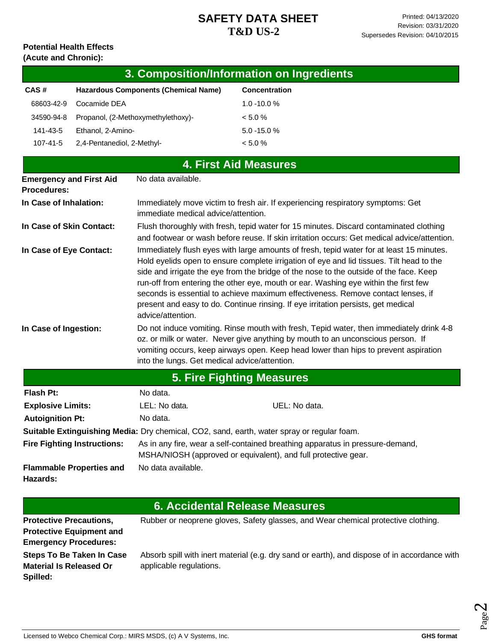#### **Potential Health Effects (Acute and Chronic):**

| 3. Composition/Information on Ingredients |                                             |                |  |
|-------------------------------------------|---------------------------------------------|----------------|--|
| CAS#                                      | <b>Hazardous Components (Chemical Name)</b> | Concentration  |  |
| 68603-42-9                                | Cocamide DEA                                | $1.0 - 10.0 %$ |  |
| 34590-94-8                                | Propanol, (2-Methoxymethylethoxy)-          | $< 5.0 \%$     |  |
| 141-43-5                                  | Ethanol, 2-Amino-                           | $5.0 - 15.0 %$ |  |
| $107 - 41 - 5$                            | 2,4-Pentanediol, 2-Methyl-                  | < 5.0 %        |  |
|                                           | .                                           |                |  |

| <b>4. First Aid Measures</b>                                                               |                                                                                                                                                                                                                                                                                                                                                                                                                                                                                                                                                                     |  |  |
|--------------------------------------------------------------------------------------------|---------------------------------------------------------------------------------------------------------------------------------------------------------------------------------------------------------------------------------------------------------------------------------------------------------------------------------------------------------------------------------------------------------------------------------------------------------------------------------------------------------------------------------------------------------------------|--|--|
| <b>Emergency and First Aid</b><br><b>Procedures:</b>                                       | No data available.                                                                                                                                                                                                                                                                                                                                                                                                                                                                                                                                                  |  |  |
| In Case of Inhalation:                                                                     | Immediately move victim to fresh air. If experiencing respiratory symptoms: Get<br>immediate medical advice/attention.                                                                                                                                                                                                                                                                                                                                                                                                                                              |  |  |
| In Case of Skin Contact:                                                                   | Flush thoroughly with fresh, tepid water for 15 minutes. Discard contaminated clothing<br>and footwear or wash before reuse. If skin irritation occurs: Get medical advice/attention.                                                                                                                                                                                                                                                                                                                                                                               |  |  |
| In Case of Eye Contact:                                                                    | Immediately flush eyes with large amounts of fresh, tepid water for at least 15 minutes.<br>Hold eyelids open to ensure complete irrigation of eye and lid tissues. Tilt head to the<br>side and irrigate the eye from the bridge of the nose to the outside of the face. Keep<br>run-off from entering the other eye, mouth or ear. Washing eye within the first few<br>seconds is essential to achieve maximum effectiveness. Remove contact lenses, if<br>present and easy to do. Continue rinsing. If eye irritation persists, get medical<br>advice/attention. |  |  |
| In Case of Ingestion:                                                                      | Do not induce vomiting. Rinse mouth with fresh, Tepid water, then immediately drink 4-8<br>oz. or milk or water. Never give anything by mouth to an unconscious person. If<br>vomiting occurs, keep airways open. Keep head lower than hips to prevent aspiration<br>into the lungs. Get medical advice/attention.                                                                                                                                                                                                                                                  |  |  |
| <b>5. Fire Fighting Measures</b>                                                           |                                                                                                                                                                                                                                                                                                                                                                                                                                                                                                                                                                     |  |  |
| <b>Flash Pt:</b>                                                                           | No data.                                                                                                                                                                                                                                                                                                                                                                                                                                                                                                                                                            |  |  |
| <b>Explosive Limits:</b>                                                                   | UEL: No data.<br>LEL: No data.                                                                                                                                                                                                                                                                                                                                                                                                                                                                                                                                      |  |  |
| <b>Autoignition Pt:</b>                                                                    | No data.                                                                                                                                                                                                                                                                                                                                                                                                                                                                                                                                                            |  |  |
| Suitable Extinguishing Media: Dry chemical, CO2, sand, earth, water spray or regular foam. |                                                                                                                                                                                                                                                                                                                                                                                                                                                                                                                                                                     |  |  |
| <b>Fire Fighting Instructions:</b>                                                         | As in any fire, wear a self-contained breathing apparatus in pressure-demand,<br>MSHA/NIOSH (approved or equivalent), and full protective gear.                                                                                                                                                                                                                                                                                                                                                                                                                     |  |  |
| <b>Flammable Properties and</b><br>Hazards:                                                | No data available.                                                                                                                                                                                                                                                                                                                                                                                                                                                                                                                                                  |  |  |

| 6. Accidental Release Measures                                                                    |                                                                                                                         |  |
|---------------------------------------------------------------------------------------------------|-------------------------------------------------------------------------------------------------------------------------|--|
| <b>Protective Precautions,</b><br><b>Protective Equipment and</b><br><b>Emergency Procedures:</b> | Rubber or neoprene gloves, Safety glasses, and Wear chemical protective clothing.                                       |  |
| <b>Steps To Be Taken In Case</b><br><b>Material Is Released Or</b><br>Spilled:                    | Absorb spill with inert material (e.g. dry sand or earth), and dispose of in accordance with<br>applicable regulations. |  |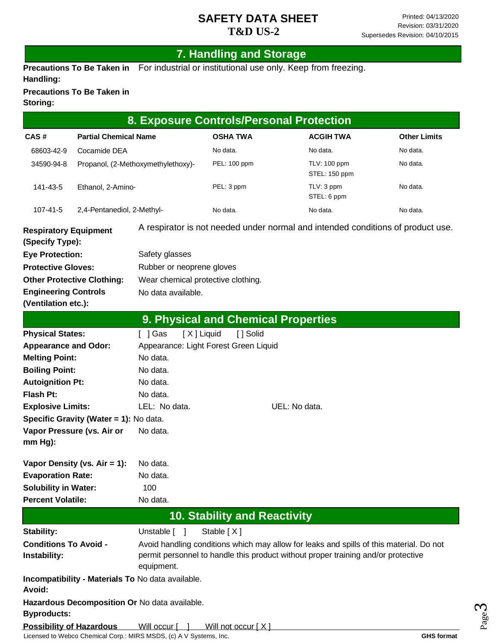# **7. Handling and Storage**

Precautions To Be Taken in For industrial or institutional use only. Keep from freezing. **Handling:**

## **Precautions To Be Taken in**

| Storing:                                        |                                           |                                                                                                                                                                                            |                                     |                                                                                 |                     |
|-------------------------------------------------|-------------------------------------------|--------------------------------------------------------------------------------------------------------------------------------------------------------------------------------------------|-------------------------------------|---------------------------------------------------------------------------------|---------------------|
|                                                 |                                           |                                                                                                                                                                                            |                                     | 8. Exposure Controls/Personal Protection                                        |                     |
| CAS#                                            | <b>Partial Chemical Name</b>              |                                                                                                                                                                                            | <b>OSHA TWA</b>                     | <b>ACGIH TWA</b>                                                                | <b>Other Limits</b> |
| 68603-42-9                                      | Cocamide DEA                              |                                                                                                                                                                                            | No data.                            | No data.                                                                        | No data.            |
| 34590-94-8                                      |                                           | Propanol, (2-Methoxymethylethoxy)-                                                                                                                                                         | PEL: 100 ppm                        | TLV: 100 ppm<br>STEL: 150 ppm                                                   | No data.            |
| 141-43-5                                        | Ethanol, 2-Amino-                         |                                                                                                                                                                                            | PEL: 3 ppm                          | TLV: 3 ppm<br>STEL: 6 ppm                                                       | No data.            |
| 107-41-5                                        | 2,4-Pentanediol, 2-Methyl-                |                                                                                                                                                                                            | No data.                            | No data.                                                                        | No data.            |
| <b>Respiratory Equipment</b><br>(Specify Type): |                                           |                                                                                                                                                                                            |                                     | A respirator is not needed under normal and intended conditions of product use. |                     |
| <b>Eye Protection:</b>                          |                                           | Safety glasses                                                                                                                                                                             |                                     |                                                                                 |                     |
| <b>Protective Gloves:</b>                       |                                           | Rubber or neoprene gloves                                                                                                                                                                  |                                     |                                                                                 |                     |
|                                                 | <b>Other Protective Clothing:</b>         | Wear chemical protective clothing.                                                                                                                                                         |                                     |                                                                                 |                     |
| <b>Engineering Controls</b>                     |                                           | No data available.                                                                                                                                                                         |                                     |                                                                                 |                     |
| (Ventilation etc.):                             |                                           |                                                                                                                                                                                            |                                     |                                                                                 |                     |
|                                                 |                                           |                                                                                                                                                                                            |                                     | 9. Physical and Chemical Properties                                             |                     |
| <b>Physical States:</b>                         |                                           | [X] Liquid<br>[ ] Gas                                                                                                                                                                      | [] Solid                            |                                                                                 |                     |
| <b>Appearance and Odor:</b>                     |                                           | Appearance: Light Forest Green Liquid                                                                                                                                                      |                                     |                                                                                 |                     |
| <b>Melting Point:</b>                           | No data.                                  |                                                                                                                                                                                            |                                     |                                                                                 |                     |
| <b>Boiling Point:</b>                           | No data.                                  |                                                                                                                                                                                            |                                     |                                                                                 |                     |
| <b>Autoignition Pt:</b>                         |                                           | No data.                                                                                                                                                                                   |                                     |                                                                                 |                     |
| Flash Pt:                                       |                                           | No data.                                                                                                                                                                                   |                                     |                                                                                 |                     |
|                                                 | LEL: No data.<br><b>Explosive Limits:</b> |                                                                                                                                                                                            |                                     | UEL: No data.                                                                   |                     |
|                                                 | Specific Gravity (Water = 1): No data.    |                                                                                                                                                                                            |                                     |                                                                                 |                     |
| $mm Hg$ :                                       | Vapor Pressure (vs. Air or                | No data.                                                                                                                                                                                   |                                     |                                                                                 |                     |
|                                                 | Vapor Density (vs. Air = 1): No data.     |                                                                                                                                                                                            |                                     |                                                                                 |                     |
| <b>Evaporation Rate:</b>                        |                                           | No data.                                                                                                                                                                                   |                                     |                                                                                 |                     |
| <b>Solubility in Water:</b>                     |                                           | 100                                                                                                                                                                                        |                                     |                                                                                 |                     |
| <b>Percent Volatile:</b>                        |                                           | No data.                                                                                                                                                                                   |                                     |                                                                                 |                     |
|                                                 |                                           |                                                                                                                                                                                            | <b>10. Stability and Reactivity</b> |                                                                                 |                     |
| Stability:                                      |                                           | Unstable [ ]                                                                                                                                                                               | Stable [X]                          |                                                                                 |                     |
| <b>Conditions To Avoid -</b><br>Instability:    |                                           | Avoid handling conditions which may allow for leaks and spills of this material. Do not<br>permit personnel to handle this product without proper training and/or protective<br>equipment. |                                     |                                                                                 |                     |
| <b>Avoid:</b>                                   |                                           | Incompatibility - Materials To No data available.                                                                                                                                          |                                     |                                                                                 |                     |
| <b>Byproducts:</b>                              |                                           | Hazardous Decomposition Or No data available.                                                                                                                                              |                                     |                                                                                 |                     |
| <b>Possibility of Hazardous</b>                 |                                           | Will occur [                                                                                                                                                                               | Will not occur [X]                  |                                                                                 |                     |

Licensed to Webco Chemical Corp.: MIRS MSDS, (c) A V Systems, Inc. **GHS** format **GHS** format

Page ო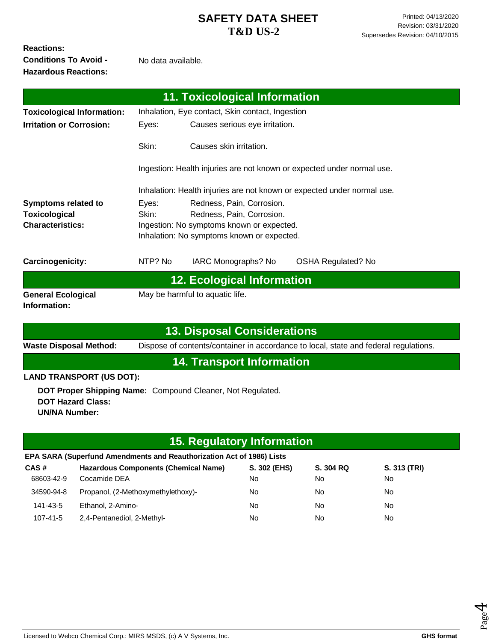**Reactions:** 

**Conditions To Avoid - Hazardous Reactions:** No data available.

|                                                                         |                                                  | 11. Toxicological Information              |                                                                        |
|-------------------------------------------------------------------------|--------------------------------------------------|--------------------------------------------|------------------------------------------------------------------------|
| <b>Toxicological Information:</b>                                       | Inhalation, Eye contact, Skin contact, Ingestion |                                            |                                                                        |
| <b>Irritation or Corrosion:</b>                                         | Eyes:                                            | Causes serious eye irritation.             |                                                                        |
|                                                                         | Skin:                                            | Causes skin irritation.                    |                                                                        |
|                                                                         |                                                  |                                            | Ingestion: Health injuries are not known or expected under normal use. |
| Inhalation: Health injuries are not known or expected under normal use. |                                                  |                                            |                                                                        |
| <b>Symptoms related to</b>                                              | Eyes:                                            | Redness, Pain, Corrosion.                  |                                                                        |
| Toxicological                                                           | Skin:                                            | Redness, Pain, Corrosion.                  |                                                                        |
| <b>Characteristics:</b>                                                 | Ingestion: No symptoms known or expected.        |                                            |                                                                        |
|                                                                         |                                                  | Inhalation: No symptoms known or expected. |                                                                        |
| Carcinogenicity:                                                        | NTP? No                                          | IARC Monographs? No                        | <b>OSHA Regulated? No</b>                                              |
| <b>12. Ecological Information</b>                                       |                                                  |                                            |                                                                        |
| <b>General Ecological</b><br>Information:                               |                                                  | May be harmful to aquatic life.            |                                                                        |

#### **13. Disposal Considerations**

**Waste Disposal Method:** Dispose of contents/container in accordance to local, state and federal regulations.

### **14. Transport Information**

**LAND TRANSPORT (US DOT):**

**DOT Proper Shipping Name:**  Compound Cleaner, Not Regulated. **DOT Hazard Class: UN/NA Number:**

#### **15. Regulatory Information**

## **EPA SARA (Superfund Amendments and Reauthorization Act of 1986) Lists**

| CAS#       | <b>Hazardous Components (Chemical Name)</b> | S. 302 (EHS) | S. 304 RQ | S. 313 (TRI) |
|------------|---------------------------------------------|--------------|-----------|--------------|
| 68603-42-9 | Cocamide DEA                                | No           | No        | No           |
| 34590-94-8 | Propanol, (2-Methoxymethylethoxy)-          | No           | No        | No           |
| 141-43-5   | Ethanol, 2-Amino-                           | No           | No        | No           |
| 107-41-5   | 2,4-Pentanediol, 2-Methyl-                  | No           | No        | No           |

Page 4